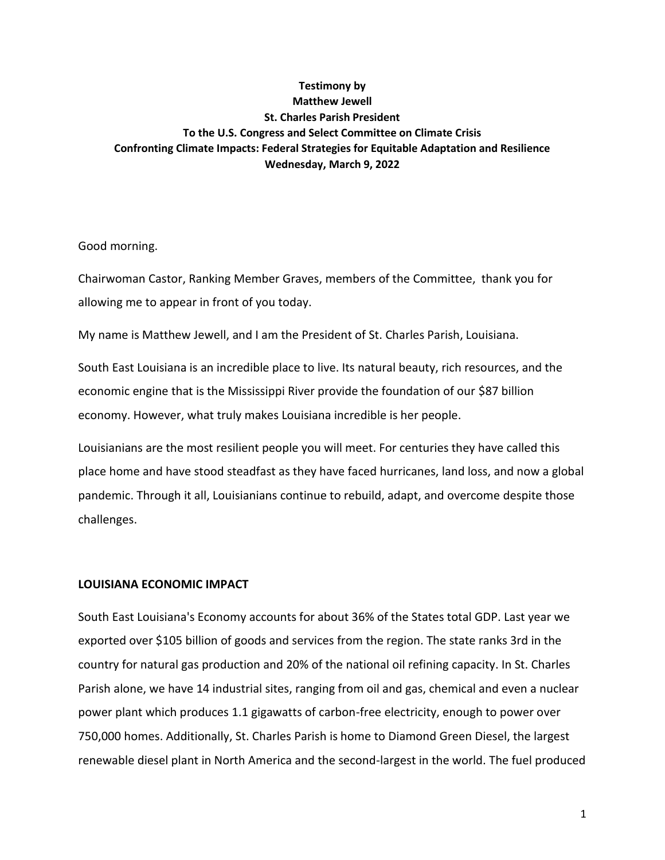# **Testimony by Matthew Jewell St. Charles Parish President To the U.S. Congress and Select Committee on Climate Crisis Confronting Climate Impacts: Federal Strategies for Equitable Adaptation and Resilience Wednesday, March 9, 2022**

Good morning.

Chairwoman Castor, Ranking Member Graves, members of the Committee, thank you for allowing me to appear in front of you today.

My name is Matthew Jewell, and I am the President of St. Charles Parish, Louisiana.

South East Louisiana is an incredible place to live. Its natural beauty, rich resources, and the economic engine that is the Mississippi River provide the foundation of our \$87 billion economy. However, what truly makes Louisiana incredible is her people.

Louisianians are the most resilient people you will meet. For centuries they have called this place home and have stood steadfast as they have faced hurricanes, land loss, and now a global pandemic. Through it all, Louisianians continue to rebuild, adapt, and overcome despite those challenges.

## **LOUISIANA ECONOMIC IMPACT**

South East Louisiana's Economy accounts for about 36% of the States total GDP. Last year we exported over \$105 billion of goods and services from the region. The state ranks 3rd in the country for natural gas production and 20% of the national oil refining capacity. In St. Charles Parish alone, we have 14 industrial sites, ranging from oil and gas, chemical and even a nuclear power plant which produces 1.1 gigawatts of carbon-free electricity, enough to power over 750,000 homes. Additionally, St. Charles Parish is home to Diamond Green Diesel, the largest renewable diesel plant in North America and the second-largest in the world. The fuel produced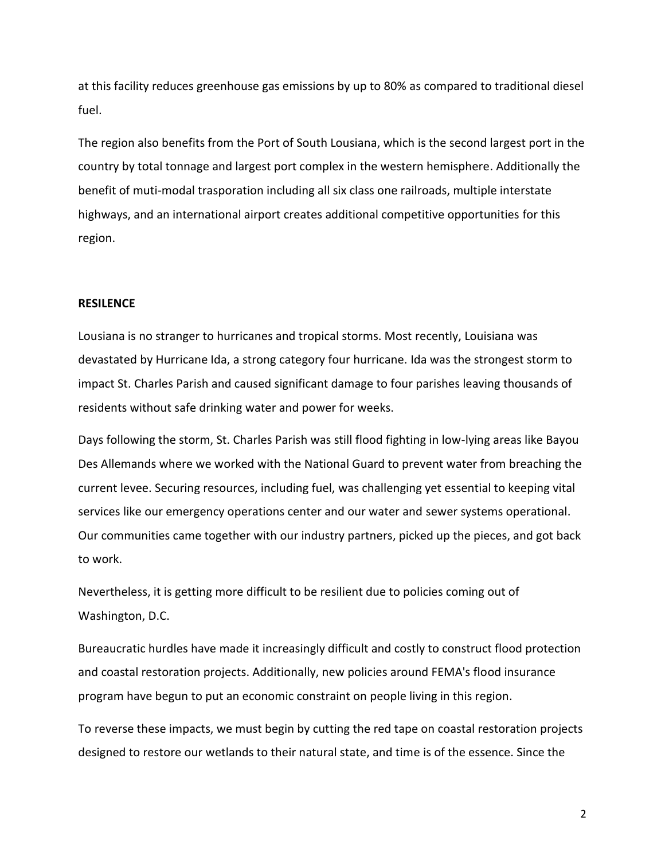at this facility reduces greenhouse gas emissions by up to 80% as compared to traditional diesel fuel.

The region also benefits from the Port of South Lousiana, which is the second largest port in the country by total tonnage and largest port complex in the western hemisphere. Additionally the benefit of muti-modal trasporation including all six class one railroads, multiple interstate highways, and an international airport creates additional competitive opportunities for this region.

#### **RESILENCE**

Lousiana is no stranger to hurricanes and tropical storms. Most recently, Louisiana was devastated by Hurricane Ida, a strong category four hurricane. Ida was the strongest storm to impact St. Charles Parish and caused significant damage to four parishes leaving thousands of residents without safe drinking water and power for weeks.

Days following the storm, St. Charles Parish was still flood fighting in low-lying areas like Bayou Des Allemands where we worked with the National Guard to prevent water from breaching the current levee. Securing resources, including fuel, was challenging yet essential to keeping vital services like our emergency operations center and our water and sewer systems operational. Our communities came together with our industry partners, picked up the pieces, and got back to work.

Nevertheless, it is getting more difficult to be resilient due to policies coming out of Washington, D.C.

Bureaucratic hurdles have made it increasingly difficult and costly to construct flood protection and coastal restoration projects. Additionally, new policies around FEMA's flood insurance program have begun to put an economic constraint on people living in this region.

To reverse these impacts, we must begin by cutting the red tape on coastal restoration projects designed to restore our wetlands to their natural state, and time is of the essence. Since the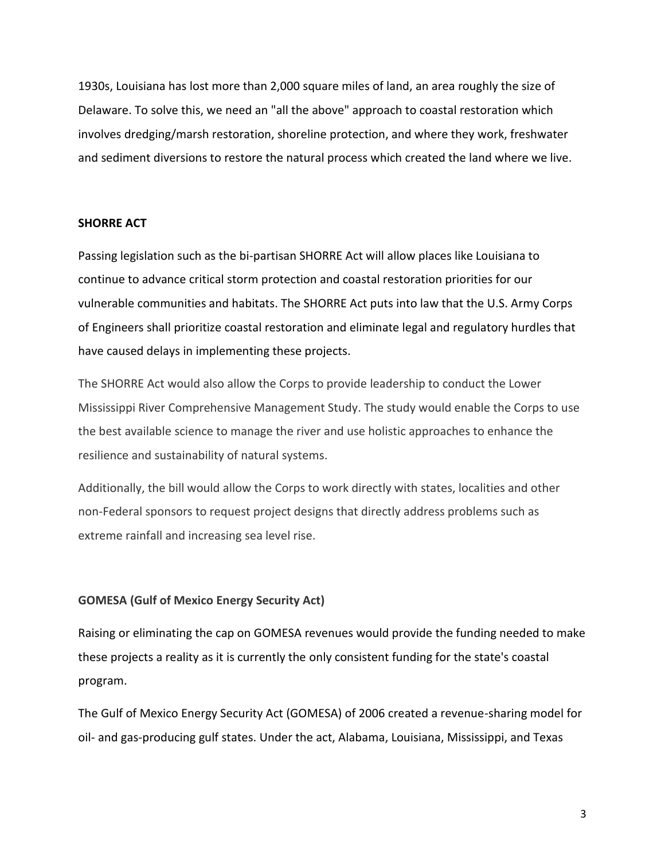1930s, Louisiana has lost more than 2,000 square miles of land, an area roughly the size of Delaware. To solve this, we need an "all the above" approach to coastal restoration which involves dredging/marsh restoration, shoreline protection, and where they work, freshwater and sediment diversions to restore the natural process which created the land where we live.

#### **SHORRE ACT**

Passing legislation such as the bi-partisan SHORRE Act will allow places like Louisiana to continue to advance critical storm protection and coastal restoration priorities for our vulnerable communities and habitats. The SHORRE Act puts into law that the U.S. Army Corps of Engineers shall prioritize coastal restoration and eliminate legal and regulatory hurdles that have caused delays in implementing these projects.

The SHORRE Act would also allow the Corps to provide leadership to conduct the Lower Mississippi River Comprehensive Management Study. The study would enable the Corps to use the best available science to manage the river and use holistic approaches to enhance the resilience and sustainability of natural systems.

Additionally, the bill would allow the Corps to work directly with states, localities and other non-Federal sponsors to request project designs that directly address problems such as extreme rainfall and increasing sea level rise.

## **GOMESA (Gulf of Mexico Energy Security Act)**

Raising or eliminating the cap on GOMESA revenues would provide the funding needed to make these projects a reality as it is currently the only consistent funding for the state's coastal program.

The Gulf of Mexico Energy Security Act (GOMESA) of 2006 created a revenue-sharing model for oil- and gas-producing gulf states. Under the act, Alabama, Louisiana, Mississippi, and Texas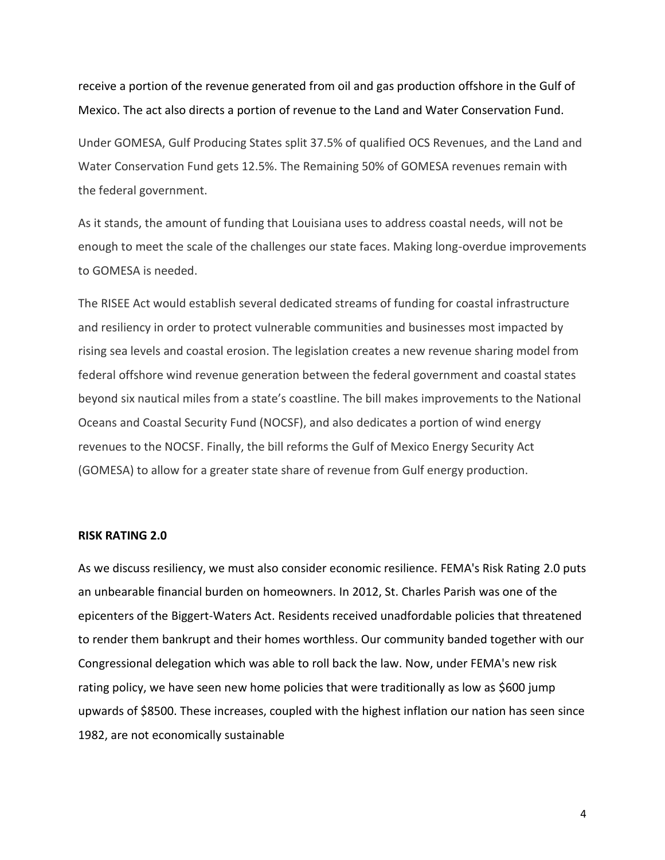receive a portion of the revenue generated from oil and gas production offshore in the Gulf of Mexico. The act also directs a portion of revenue to the Land and Water Conservation Fund.

Under GOMESA, Gulf Producing States split 37.5% of qualified OCS Revenues, and the Land and Water Conservation Fund gets 12.5%. The Remaining 50% of GOMESA revenues remain with the federal government.

As it stands, the amount of funding that Louisiana uses to address coastal needs, will not be enough to meet the scale of the challenges our state faces. Making long-overdue improvements to GOMESA is needed.

The RISEE Act would establish several dedicated streams of funding for coastal infrastructure and resiliency in order to protect vulnerable communities and businesses most impacted by rising sea levels and coastal erosion. The legislation creates a new revenue sharing model from federal offshore wind revenue generation between the federal government and coastal states beyond six nautical miles from a state's coastline. The bill makes improvements to the National Oceans and Coastal Security Fund (NOCSF), and also dedicates a portion of wind energy revenues to the NOCSF. Finally, the bill reforms the Gulf of Mexico Energy Security Act (GOMESA) to allow for a greater state share of revenue from Gulf energy production.

#### **RISK RATING 2.0**

As we discuss resiliency, we must also consider economic resilience. FEMA's Risk Rating 2.0 puts an unbearable financial burden on homeowners. In 2012, St. Charles Parish was one of the epicenters of the Biggert-Waters Act. Residents received unadfordable policies that threatened to render them bankrupt and their homes worthless. Our community banded together with our Congressional delegation which was able to roll back the law. Now, under FEMA's new risk rating policy, we have seen new home policies that were traditionally as low as \$600 jump upwards of \$8500. These increases, coupled with the highest inflation our nation has seen since 1982, are not economically sustainable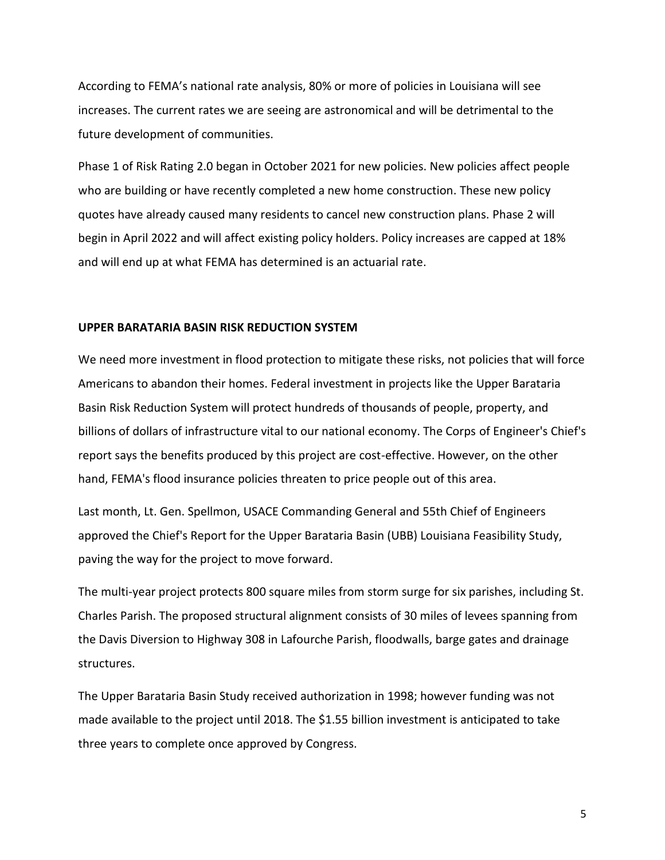According to FEMA's national rate analysis, 80% or more of policies in Louisiana will see increases. The current rates we are seeing are astronomical and will be detrimental to the future development of communities.

Phase 1 of Risk Rating 2.0 began in October 2021 for new policies. New policies affect people who are building or have recently completed a new home construction. These new policy quotes have already caused many residents to cancel new construction plans. Phase 2 will begin in April 2022 and will affect existing policy holders. Policy increases are capped at 18% and will end up at what FEMA has determined is an actuarial rate.

#### **UPPER BARATARIA BASIN RISK REDUCTION SYSTEM**

We need more investment in flood protection to mitigate these risks, not policies that will force Americans to abandon their homes. Federal investment in projects like the Upper Barataria Basin Risk Reduction System will protect hundreds of thousands of people, property, and billions of dollars of infrastructure vital to our national economy. The Corps of Engineer's Chief's report says the benefits produced by this project are cost-effective. However, on the other hand, FEMA's flood insurance policies threaten to price people out of this area.

Last month, Lt. Gen. Spellmon, USACE Commanding General and 55th Chief of Engineers approved the Chief's Report for the Upper Barataria Basin (UBB) Louisiana Feasibility Study, paving the way for the project to move forward.

The multi-year project protects 800 square miles from storm surge for six parishes, including St. Charles Parish. The proposed structural alignment consists of 30 miles of levees spanning from the Davis Diversion to Highway 308 in Lafourche Parish, floodwalls, barge gates and drainage structures.

The Upper Barataria Basin Study received authorization in 1998; however funding was not made available to the project until 2018. The \$1.55 billion investment is anticipated to take three years to complete once approved by Congress.